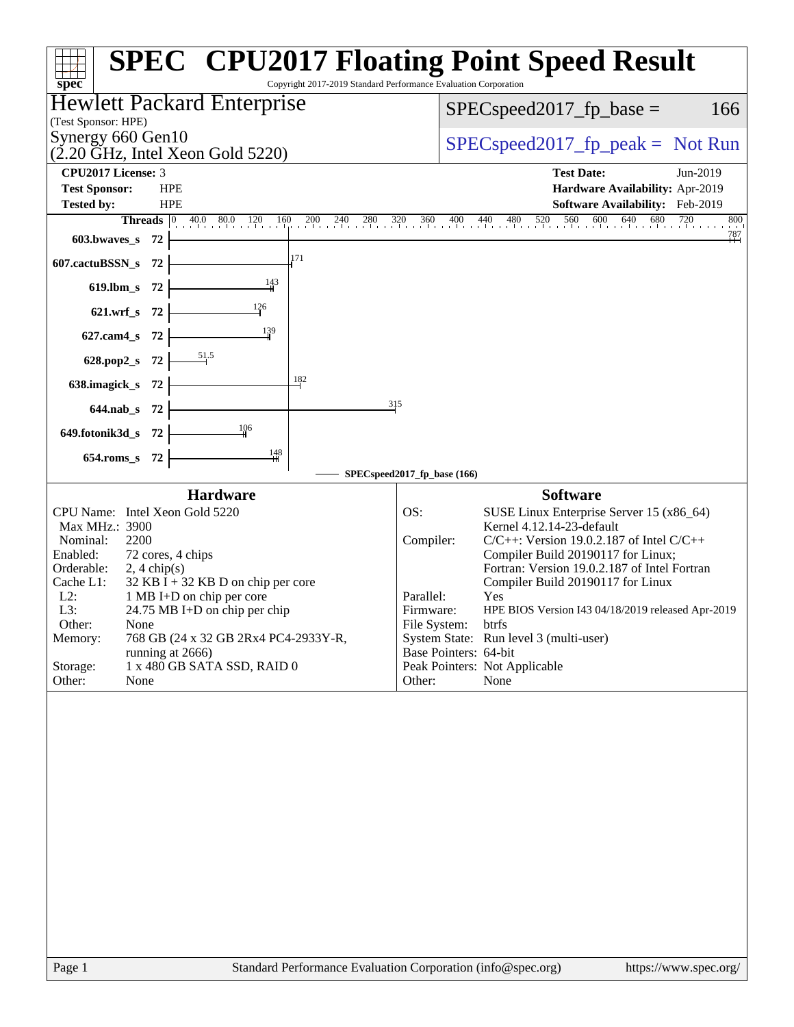| spec®                                                                                                                                                                                                             | <b>Hewlett Packard Enterprise</b>                                                                                                                                                                                  |                             |                                                                 | $SPEC speed2017_fp\_base =$                                                                                                                                                                                                                                                                                                                                                                               | 166      |
|-------------------------------------------------------------------------------------------------------------------------------------------------------------------------------------------------------------------|--------------------------------------------------------------------------------------------------------------------------------------------------------------------------------------------------------------------|-----------------------------|-----------------------------------------------------------------|-----------------------------------------------------------------------------------------------------------------------------------------------------------------------------------------------------------------------------------------------------------------------------------------------------------------------------------------------------------------------------------------------------------|----------|
| (Test Sponsor: HPE)<br>Synergy 660 Gen10                                                                                                                                                                          |                                                                                                                                                                                                                    |                             |                                                                 |                                                                                                                                                                                                                                                                                                                                                                                                           |          |
|                                                                                                                                                                                                                   | $(2.20 \text{ GHz}, \text{Intel Xeon Gold } 5220)$                                                                                                                                                                 |                             |                                                                 | $SPEC speed2017rfp peak = Not Run$                                                                                                                                                                                                                                                                                                                                                                        |          |
| CPU2017 License: 3                                                                                                                                                                                                |                                                                                                                                                                                                                    |                             |                                                                 | <b>Test Date:</b>                                                                                                                                                                                                                                                                                                                                                                                         | Jun-2019 |
| <b>Test Sponsor:</b><br><b>Tested by:</b>                                                                                                                                                                         | <b>HPE</b><br><b>HPE</b>                                                                                                                                                                                           |                             |                                                                 | Hardware Availability: Apr-2019<br><b>Software Availability:</b> Feb-2019                                                                                                                                                                                                                                                                                                                                 |          |
|                                                                                                                                                                                                                   |                                                                                                                                                                                                                    |                             |                                                                 | <b>Threads</b> 0 40.0 80.0 120 160 200 240 280 320 360 400 440 480 520 560 600 640 680 720 800                                                                                                                                                                                                                                                                                                            | 800      |
| $603.bwaves$ 72                                                                                                                                                                                                   |                                                                                                                                                                                                                    |                             |                                                                 |                                                                                                                                                                                                                                                                                                                                                                                                           | 787      |
| 607.cactuBSSN_s $72$                                                                                                                                                                                              | 171                                                                                                                                                                                                                |                             |                                                                 |                                                                                                                                                                                                                                                                                                                                                                                                           |          |
| 619.lbm_s 72 $\vert$                                                                                                                                                                                              | $\frac{143}{4}$                                                                                                                                                                                                    |                             |                                                                 |                                                                                                                                                                                                                                                                                                                                                                                                           |          |
| 621.wrf_s 72 $\vert$                                                                                                                                                                                              | $\frac{126}{ }$                                                                                                                                                                                                    |                             |                                                                 |                                                                                                                                                                                                                                                                                                                                                                                                           |          |
| $627$ .cam4_s 72 $\vdash$                                                                                                                                                                                         | $\frac{139}{4}$                                                                                                                                                                                                    |                             |                                                                 |                                                                                                                                                                                                                                                                                                                                                                                                           |          |
| 628.pop2_s 72 $\vert$                                                                                                                                                                                             |                                                                                                                                                                                                                    |                             |                                                                 |                                                                                                                                                                                                                                                                                                                                                                                                           |          |
| 638.imagick_s $72$                                                                                                                                                                                                |                                                                                                                                                                                                                    | 182                         |                                                                 |                                                                                                                                                                                                                                                                                                                                                                                                           |          |
| $644.nab_s$ 72                                                                                                                                                                                                    |                                                                                                                                                                                                                    | 315                         |                                                                 |                                                                                                                                                                                                                                                                                                                                                                                                           |          |
| 649.fotonik3d_s $72$ $\vdash$                                                                                                                                                                                     |                                                                                                                                                                                                                    |                             |                                                                 |                                                                                                                                                                                                                                                                                                                                                                                                           |          |
| 654.roms_s 72                                                                                                                                                                                                     | $\frac{148}{11}$                                                                                                                                                                                                   |                             |                                                                 |                                                                                                                                                                                                                                                                                                                                                                                                           |          |
|                                                                                                                                                                                                                   | <b>Hardware</b>                                                                                                                                                                                                    | SPECspeed2017_fp_base (166) |                                                                 | <b>Software</b>                                                                                                                                                                                                                                                                                                                                                                                           |          |
| CPU Name: Intel Xeon Gold 5220<br>Max MHz.: 3900<br>Nominal:<br>2200<br>Enabled:<br>Orderable:<br>$2, 4 \text{ chip}(s)$<br>Cache L1:<br>$L2$ :<br>L3:<br>Other:<br>None<br>Memory:<br>Storage:<br>Other:<br>None | 72 cores, 4 chips<br>$32$ KB I + 32 KB D on chip per core<br>1 MB I+D on chip per core<br>24.75 MB I+D on chip per chip<br>768 GB (24 x 32 GB 2Rx4 PC4-2933Y-R,<br>running at 2666)<br>1 x 480 GB SATA SSD, RAID 0 | OS:<br>Parallel:<br>Other:  | Compiler:<br>Firmware:<br>File System:<br>Base Pointers: 64-bit | SUSE Linux Enterprise Server 15 (x86_64)<br>Kernel 4.12.14-23-default<br>$C/C++$ : Version 19.0.2.187 of Intel $C/C++$<br>Compiler Build 20190117 for Linux;<br>Fortran: Version 19.0.2.187 of Intel Fortran<br>Compiler Build 20190117 for Linux<br>Yes<br>HPE BIOS Version I43 04/18/2019 released Apr-2019<br>btrfs<br>System State: Run level 3 (multi-user)<br>Peak Pointers: Not Applicable<br>None |          |
|                                                                                                                                                                                                                   |                                                                                                                                                                                                                    |                             |                                                                 |                                                                                                                                                                                                                                                                                                                                                                                                           |          |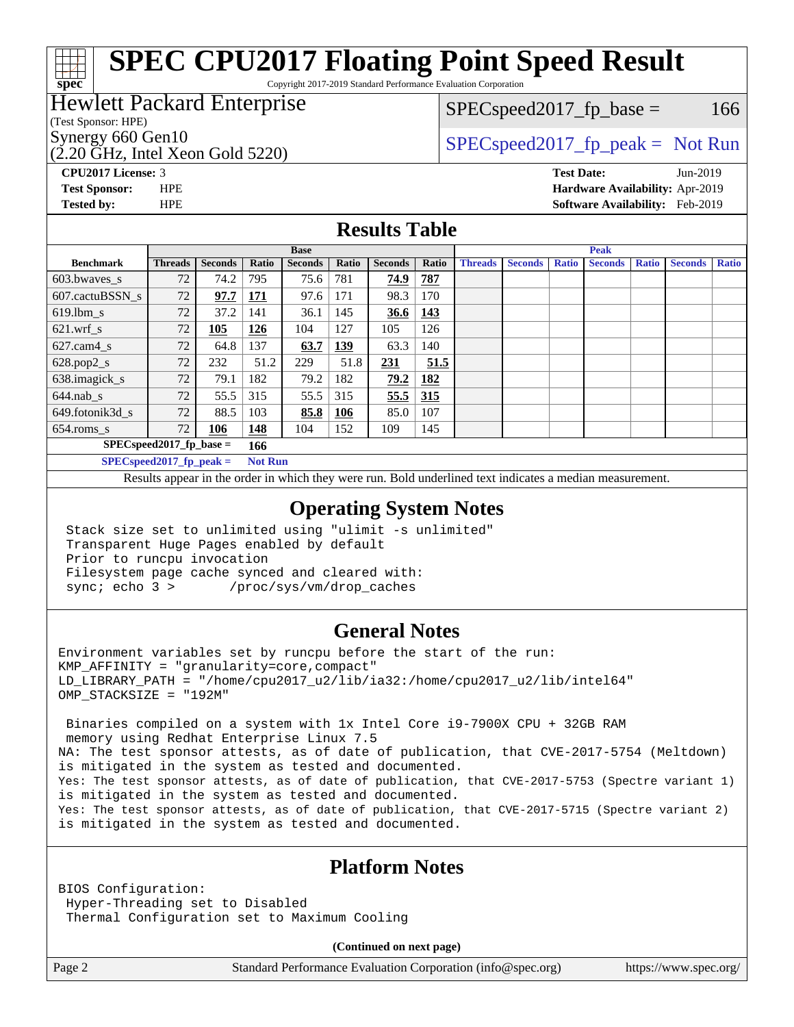#### **[spec](http://www.spec.org/) [SPEC CPU2017 Floating Point Speed Result](http://www.spec.org/auto/cpu2017/Docs/result-fields.html#SPECCPU2017FloatingPointSpeedResult)** Copyright 2017-2019 Standard Performance Evaluation Corporation

### Hewlett Packard Enterprise

### $SPEC speed2017<sub>fp</sub> base =  $166$$

(Test Sponsor: HPE)

(2.20 GHz, Intel Xeon Gold 5220)

Synergy 660 Gen10<br>  $SPEC speed2017$  [p\_peak = Not Run

**[CPU2017 License:](http://www.spec.org/auto/cpu2017/Docs/result-fields.html#CPU2017License)** 3 **[Test Date:](http://www.spec.org/auto/cpu2017/Docs/result-fields.html#TestDate)** Jun-2019 **[Test Sponsor:](http://www.spec.org/auto/cpu2017/Docs/result-fields.html#TestSponsor)** HPE **[Hardware Availability:](http://www.spec.org/auto/cpu2017/Docs/result-fields.html#HardwareAvailability)** Apr-2019 **[Tested by:](http://www.spec.org/auto/cpu2017/Docs/result-fields.html#Testedby)** HPE **[Software Availability:](http://www.spec.org/auto/cpu2017/Docs/result-fields.html#SoftwareAvailability)** Feb-2019

### **[Results Table](http://www.spec.org/auto/cpu2017/Docs/result-fields.html#ResultsTable)**

|                            | <b>Base</b>                 |                |                |                |       |                | <b>Peak</b> |                |                |              |                |              |                |              |
|----------------------------|-----------------------------|----------------|----------------|----------------|-------|----------------|-------------|----------------|----------------|--------------|----------------|--------------|----------------|--------------|
| <b>Benchmark</b>           | <b>Threads</b>              | <b>Seconds</b> | Ratio          | <b>Seconds</b> | Ratio | <b>Seconds</b> | Ratio       | <b>Threads</b> | <b>Seconds</b> | <b>Ratio</b> | <b>Seconds</b> | <b>Ratio</b> | <b>Seconds</b> | <b>Ratio</b> |
| 603.bwayes_s               | 72                          | 74.2           | 795            | 75.6           | 781   | 74.9           | 787         |                |                |              |                |              |                |              |
| 607.cactuBSSN s            | 72                          | 97.7           | 171            | 97.6           | 171   | 98.3           | 170         |                |                |              |                |              |                |              |
| $619.$ lbm s               | 72                          | 37.2           | 141            | 36.1           | 145   | 36.6           | 143         |                |                |              |                |              |                |              |
| $621.wrf$ s                | 72                          | 105            | <u>126</u>     | 104            | 127   | 105            | 126         |                |                |              |                |              |                |              |
| $627$ .cam $4 \text{ s}$   | 72                          | 64.8           | 137            | 63.7           | 139   | 63.3           | 140         |                |                |              |                |              |                |              |
| $628.pop2_s$               | 72                          | 232            | 51.2           | 229            | 51.8  | 231            | 51.5        |                |                |              |                |              |                |              |
| 638.imagick_s              | 72                          | 79.1           | 182            | 79.2           | 182   | 79.2           | 182         |                |                |              |                |              |                |              |
| $644$ .nab s               | 72                          | 55.5           | 315            | 55.5           | 315   | 55.5           | 315         |                |                |              |                |              |                |              |
| 649.fotonik3d s            | 72                          | 88.5           | 103            | 85.8           | 106   | 85.0           | 107         |                |                |              |                |              |                |              |
| $654$ .roms_s              | 72                          | 106            | 148            | 104            | 152   | 109            | 145         |                |                |              |                |              |                |              |
|                            | $SPEC speed2017_fp\_base =$ |                | 166            |                |       |                |             |                |                |              |                |              |                |              |
| $SPECspeed2017_fp\_peak =$ |                             |                | <b>Not Run</b> |                |       |                |             |                |                |              |                |              |                |              |

Results appear in the [order in which they were run.](http://www.spec.org/auto/cpu2017/Docs/result-fields.html#RunOrder) Bold underlined text [indicates a median measurement](http://www.spec.org/auto/cpu2017/Docs/result-fields.html#Median).

### **[Operating System Notes](http://www.spec.org/auto/cpu2017/Docs/result-fields.html#OperatingSystemNotes)**

 Stack size set to unlimited using "ulimit -s unlimited" Transparent Huge Pages enabled by default Prior to runcpu invocation Filesystem page cache synced and cleared with: sync; echo 3 > /proc/sys/vm/drop\_caches

### **[General Notes](http://www.spec.org/auto/cpu2017/Docs/result-fields.html#GeneralNotes)**

Environment variables set by runcpu before the start of the run: KMP\_AFFINITY = "granularity=core,compact" LD\_LIBRARY\_PATH = "/home/cpu2017\_u2/lib/ia32:/home/cpu2017\_u2/lib/intel64" OMP\_STACKSIZE = "192M"

 Binaries compiled on a system with 1x Intel Core i9-7900X CPU + 32GB RAM memory using Redhat Enterprise Linux 7.5 NA: The test sponsor attests, as of date of publication, that CVE-2017-5754 (Meltdown) is mitigated in the system as tested and documented. Yes: The test sponsor attests, as of date of publication, that CVE-2017-5753 (Spectre variant 1) is mitigated in the system as tested and documented. Yes: The test sponsor attests, as of date of publication, that CVE-2017-5715 (Spectre variant 2) is mitigated in the system as tested and documented.

### **[Platform Notes](http://www.spec.org/auto/cpu2017/Docs/result-fields.html#PlatformNotes)**

BIOS Configuration: Hyper-Threading set to Disabled Thermal Configuration set to Maximum Cooling

**(Continued on next page)**

Page 2 Standard Performance Evaluation Corporation [\(info@spec.org\)](mailto:info@spec.org) <https://www.spec.org/>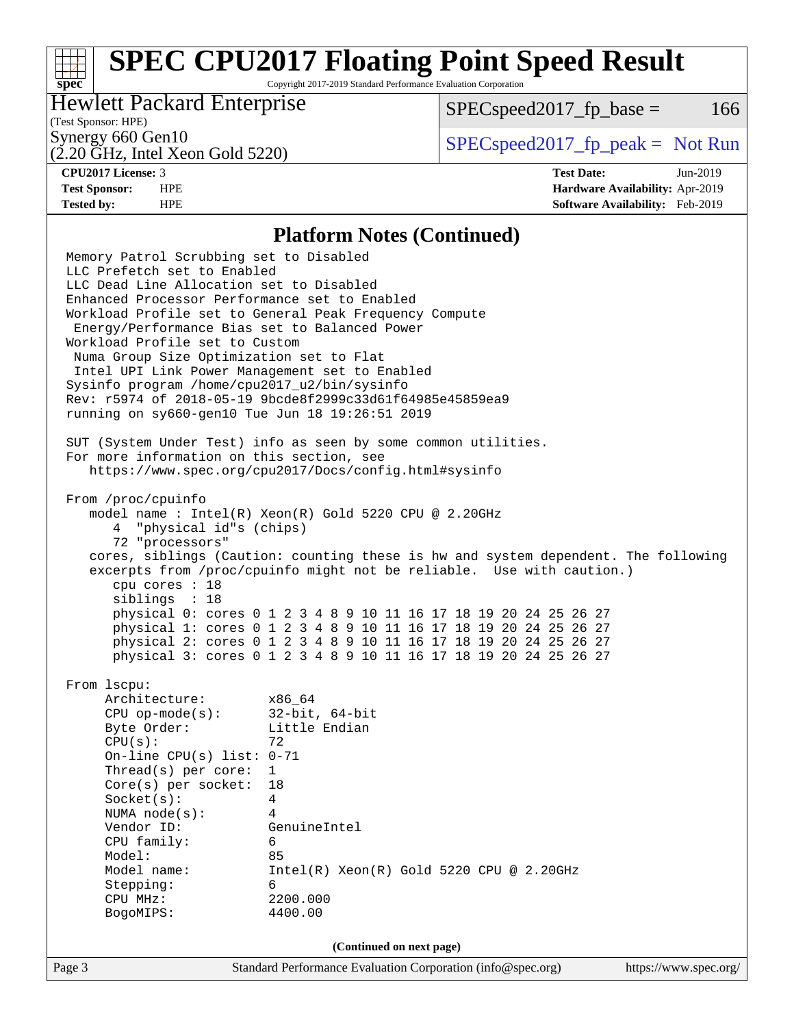Copyright 2017-2019 Standard Performance Evaluation Corporation

### Hewlett Packard Enterprise

 $SPEC speed2017<sub>fp</sub> base =  $166$$ 

### (Test Sponsor: HPE)

(2.20 GHz, Intel Xeon Gold 5220)

Synergy 660 Gen10  $S^{perg}$  [SPECspeed2017\\_fp\\_peak =](http://www.spec.org/auto/cpu2017/Docs/result-fields.html#SPECspeed2017fppeak) Not Run

**[spec](http://www.spec.org/)**

**[CPU2017 License:](http://www.spec.org/auto/cpu2017/Docs/result-fields.html#CPU2017License)** 3 **[Test Date:](http://www.spec.org/auto/cpu2017/Docs/result-fields.html#TestDate)** Jun-2019 **[Test Sponsor:](http://www.spec.org/auto/cpu2017/Docs/result-fields.html#TestSponsor)** HPE **[Hardware Availability:](http://www.spec.org/auto/cpu2017/Docs/result-fields.html#HardwareAvailability)** Apr-2019 **[Tested by:](http://www.spec.org/auto/cpu2017/Docs/result-fields.html#Testedby)** HPE **[Software Availability:](http://www.spec.org/auto/cpu2017/Docs/result-fields.html#SoftwareAvailability)** Feb-2019

#### **[Platform Notes \(Continued\)](http://www.spec.org/auto/cpu2017/Docs/result-fields.html#PlatformNotes)**

Page 3 Standard Performance Evaluation Corporation [\(info@spec.org\)](mailto:info@spec.org) <https://www.spec.org/> Memory Patrol Scrubbing set to Disabled LLC Prefetch set to Enabled LLC Dead Line Allocation set to Disabled Enhanced Processor Performance set to Enabled Workload Profile set to General Peak Frequency Compute Energy/Performance Bias set to Balanced Power Workload Profile set to Custom Numa Group Size Optimization set to Flat Intel UPI Link Power Management set to Enabled Sysinfo program /home/cpu2017\_u2/bin/sysinfo Rev: r5974 of 2018-05-19 9bcde8f2999c33d61f64985e45859ea9 running on sy660-gen10 Tue Jun 18 19:26:51 2019 SUT (System Under Test) info as seen by some common utilities. For more information on this section, see <https://www.spec.org/cpu2017/Docs/config.html#sysinfo> From /proc/cpuinfo model name : Intel(R) Xeon(R) Gold 5220 CPU @ 2.20GHz 4 "physical id"s (chips) 72 "processors" cores, siblings (Caution: counting these is hw and system dependent. The following excerpts from /proc/cpuinfo might not be reliable. Use with caution.) cpu cores : 18 siblings : 18 physical 0: cores 0 1 2 3 4 8 9 10 11 16 17 18 19 20 24 25 26 27 physical 1: cores 0 1 2 3 4 8 9 10 11 16 17 18 19 20 24 25 26 27 physical 2: cores 0 1 2 3 4 8 9 10 11 16 17 18 19 20 24 25 26 27 physical 3: cores 0 1 2 3 4 8 9 10 11 16 17 18 19 20 24 25 26 27 From lscpu: Architecture: x86\_64 CPU op-mode(s): 32-bit, 64-bit Byte Order: Little Endian  $CPU(s):$  72 On-line CPU(s) list: 0-71 Thread(s) per core: 1 Core(s) per socket: 18 Socket(s): 4 NUMA node(s): 4 Vendor ID: GenuineIntel CPU family: 6 Model: 85 Model name: Intel(R) Xeon(R) Gold 5220 CPU @ 2.20GHz Stepping: 6 CPU MHz: 2200.000 BogoMIPS: 4400.00 **(Continued on next page)**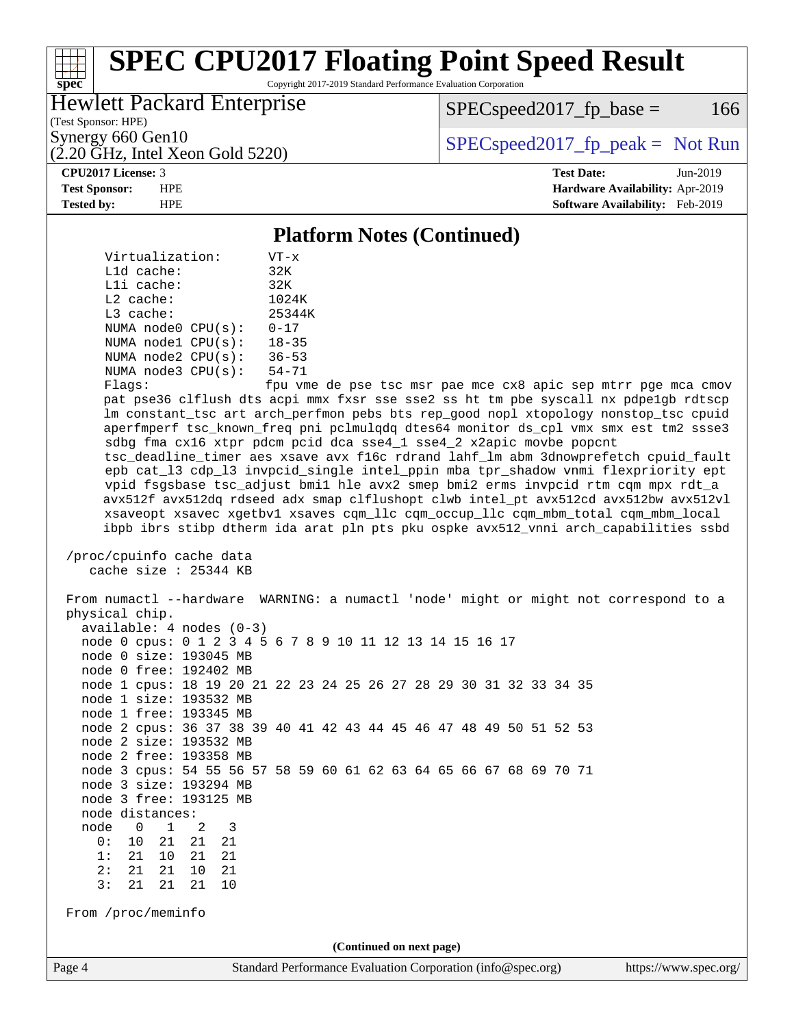Copyright 2017-2019 Standard Performance Evaluation Corporation

### Hewlett Packard Enterprise

 $SPEC speed2017<sub>fp</sub> base =  $166$$ 

(Test Sponsor: HPE)

(2.20 GHz, Intel Xeon Gold 5220)

Synergy 660 Gen10  $S^{perg}$  [SPECspeed2017\\_fp\\_peak =](http://www.spec.org/auto/cpu2017/Docs/result-fields.html#SPECspeed2017fppeak) Not Run

**[spec](http://www.spec.org/)**

**[CPU2017 License:](http://www.spec.org/auto/cpu2017/Docs/result-fields.html#CPU2017License)** 3 **[Test Date:](http://www.spec.org/auto/cpu2017/Docs/result-fields.html#TestDate)** Jun-2019 **[Test Sponsor:](http://www.spec.org/auto/cpu2017/Docs/result-fields.html#TestSponsor)** HPE **[Hardware Availability:](http://www.spec.org/auto/cpu2017/Docs/result-fields.html#HardwareAvailability)** Apr-2019 **[Tested by:](http://www.spec.org/auto/cpu2017/Docs/result-fields.html#Testedby)** HPE **[Software Availability:](http://www.spec.org/auto/cpu2017/Docs/result-fields.html#SoftwareAvailability)** Feb-2019

#### **[Platform Notes \(Continued\)](http://www.spec.org/auto/cpu2017/Docs/result-fields.html#PlatformNotes)**

 Virtualization: VT-x L1d cache: 32K L1i cache: 32K L2 cache: 1024K L3 cache: 25344K NUMA node0 CPU(s): 0-17 NUMA node1 CPU(s): 18-35 NUMA node2 CPU(s): 36-53 NUMA node3 CPU(s): 54-71

Flags: fpu vme de pse tsc msr pae mce cx8 apic sep mtrr pge mca cmov pat pse36 clflush dts acpi mmx fxsr sse sse2 ss ht tm pbe syscall nx pdpe1gb rdtscp lm constant\_tsc art arch\_perfmon pebs bts rep\_good nopl xtopology nonstop\_tsc cpuid aperfmperf tsc\_known\_freq pni pclmulqdq dtes64 monitor ds\_cpl vmx smx est tm2 ssse3 sdbg fma cx16 xtpr pdcm pcid dca sse4\_1 sse4\_2 x2apic movbe popcnt tsc\_deadline\_timer aes xsave avx f16c rdrand lahf\_lm abm 3dnowprefetch cpuid\_fault epb cat\_l3 cdp\_l3 invpcid\_single intel\_ppin mba tpr\_shadow vnmi flexpriority ept vpid fsgsbase tsc\_adjust bmi1 hle avx2 smep bmi2 erms invpcid rtm cqm mpx rdt\_a avx512f avx512dq rdseed adx smap clflushopt clwb intel\_pt avx512cd avx512bw avx512vl xsaveopt xsavec xgetbv1 xsaves cqm\_llc cqm\_occup\_llc cqm\_mbm\_total cqm\_mbm\_local ibpb ibrs stibp dtherm ida arat pln pts pku ospke avx512\_vnni arch\_capabilities ssbd

 /proc/cpuinfo cache data cache size : 25344 KB

 From numactl --hardware WARNING: a numactl 'node' might or might not correspond to a physical chip. available: 4 nodes (0-3) node 0 cpus: 0 1 2 3 4 5 6 7 8 9 10 11 12 13 14 15 16 17 node 0 size: 193045 MB node 0 free: 192402 MB node 1 cpus: 18 19 20 21 22 23 24 25 26 27 28 29 30 31 32 33 34 35 node 1 size: 193532 MB node 1 free: 193345 MB node 2 cpus: 36 37 38 39 40 41 42 43 44 45 46 47 48 49 50 51 52 53 node 2 size: 193532 MB node 2 free: 193358 MB node 3 cpus: 54 55 56 57 58 59 60 61 62 63 64 65 66 67 68 69 70 71 node 3 size: 193294 MB node 3 free: 193125 MB node distances: node 0 1 2 3 0: 10 21 21 21 1: 21 10 21 21 2: 21 21 10 21 3: 21 21 21 10 From /proc/meminfo **(Continued on next page)**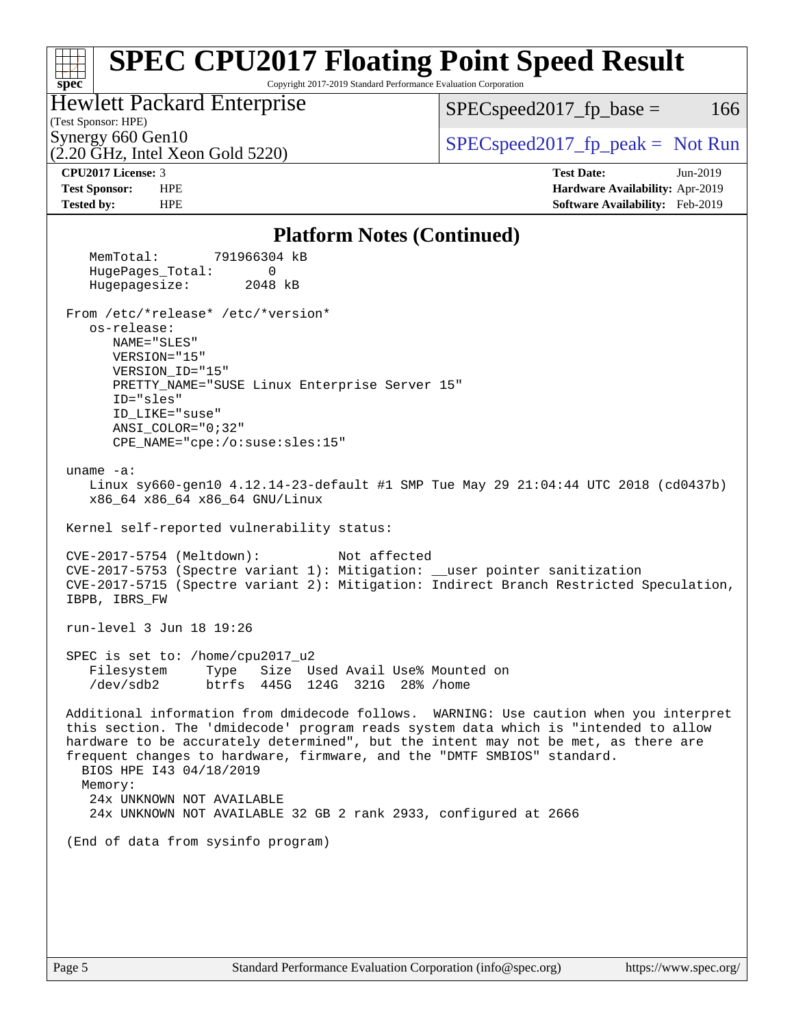#### **[spec](http://www.spec.org/) [SPEC CPU2017 Floating Point Speed Result](http://www.spec.org/auto/cpu2017/Docs/result-fields.html#SPECCPU2017FloatingPointSpeedResult)** Copyright 2017-2019 Standard Performance Evaluation Corporation (Test Sponsor: HPE) Hewlett Packard Enterprise (2.20 GHz, Intel Xeon Gold 5220) Synergy 660 Gen10  $SPEC speed2017$  fp\_peak = Not Run  $SPEC speed2017<sub>fp</sub> base =  $166$$ **[CPU2017 License:](http://www.spec.org/auto/cpu2017/Docs/result-fields.html#CPU2017License)** 3 **[Test Date:](http://www.spec.org/auto/cpu2017/Docs/result-fields.html#TestDate)** Jun-2019 **[Test Sponsor:](http://www.spec.org/auto/cpu2017/Docs/result-fields.html#TestSponsor)** HPE **[Hardware Availability:](http://www.spec.org/auto/cpu2017/Docs/result-fields.html#HardwareAvailability)** Apr-2019 **[Tested by:](http://www.spec.org/auto/cpu2017/Docs/result-fields.html#Testedby)** HPE **[Software Availability:](http://www.spec.org/auto/cpu2017/Docs/result-fields.html#SoftwareAvailability)** Feb-2019 **[Platform Notes \(Continued\)](http://www.spec.org/auto/cpu2017/Docs/result-fields.html#PlatformNotes)** MemTotal: 791966304 kB HugePages\_Total: 0 Hugepagesize: 2048 kB From /etc/\*release\* /etc/\*version\* os-release: NAME="SLES" VERSION="15" VERSION\_ID="15" PRETTY\_NAME="SUSE Linux Enterprise Server 15" ID="sles" ID\_LIKE="suse" ANSI\_COLOR="0;32" CPE\_NAME="cpe:/o:suse:sles:15" uname -a: Linux sy660-gen10 4.12.14-23-default #1 SMP Tue May 29 21:04:44 UTC 2018 (cd0437b) x86\_64 x86\_64 x86\_64 GNU/Linux Kernel self-reported vulnerability status: CVE-2017-5754 (Meltdown): Not affected CVE-2017-5753 (Spectre variant 1): Mitigation: \_\_user pointer sanitization CVE-2017-5715 (Spectre variant 2): Mitigation: Indirect Branch Restricted Speculation, IBPB, IBRS\_FW run-level 3 Jun 18 19:26 SPEC is set to: /home/cpu2017\_u2 Filesystem Type Size Used Avail Use% Mounted on /dev/sdb2 btrfs 445G 124G 321G 28% /home Additional information from dmidecode follows. WARNING: Use caution when you interpret this section. The 'dmidecode' program reads system data which is "intended to allow hardware to be accurately determined", but the intent may not be met, as there are frequent changes to hardware, firmware, and the "DMTF SMBIOS" standard. BIOS HPE I43 04/18/2019 Memory: 24x UNKNOWN NOT AVAILABLE 24x UNKNOWN NOT AVAILABLE 32 GB 2 rank 2933, configured at 2666 (End of data from sysinfo program)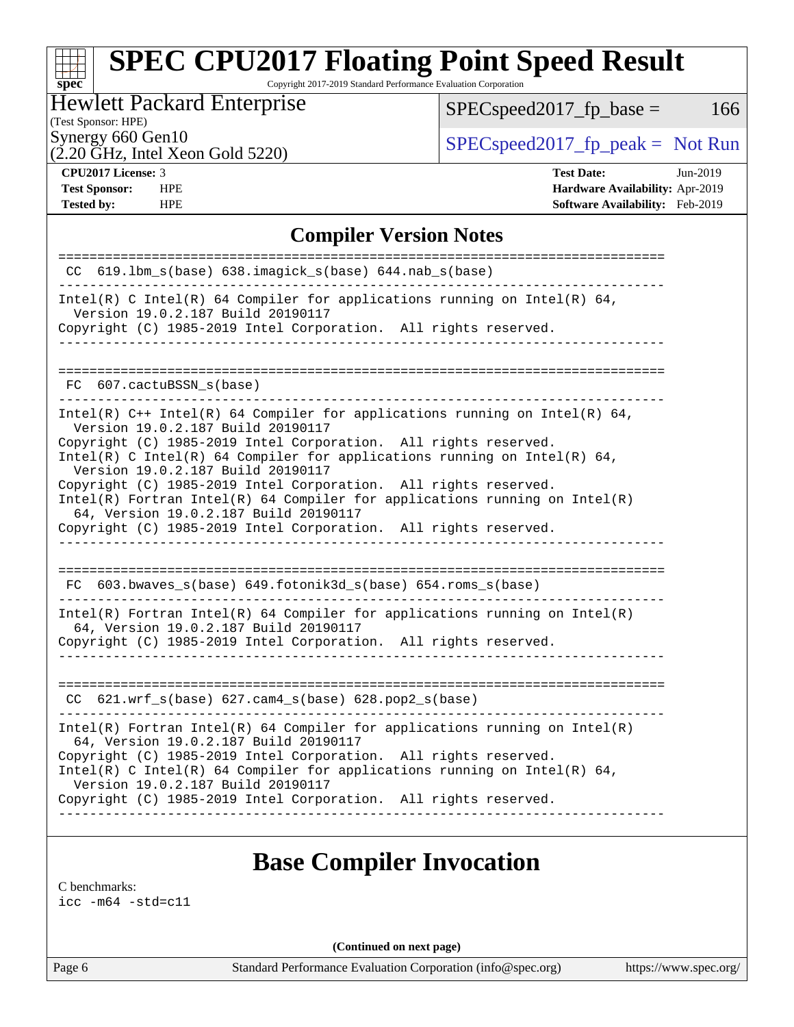Copyright 2017-2019 Standard Performance Evaluation Corporation

### Hewlett Packard Enterprise

 $SPEC speed2017_fp\_base = 166$ 

(Test Sponsor: HPE)

 $(2.20 \text{ }\overline{\text{GHz}}$ , Intel Xeon Gold 5220)

Synergy 660 Gen10<br>  $SPEC speed2017<sub>rfp</sub> peak = Not Run$ 

**[spec](http://www.spec.org/)**

**[Tested by:](http://www.spec.org/auto/cpu2017/Docs/result-fields.html#Testedby)** HPE **[Software Availability:](http://www.spec.org/auto/cpu2017/Docs/result-fields.html#SoftwareAvailability)** Feb-2019

**[CPU2017 License:](http://www.spec.org/auto/cpu2017/Docs/result-fields.html#CPU2017License)** 3 **[Test Date:](http://www.spec.org/auto/cpu2017/Docs/result-fields.html#TestDate)** Jun-2019 **[Test Sponsor:](http://www.spec.org/auto/cpu2017/Docs/result-fields.html#TestSponsor)** HPE **[Hardware Availability:](http://www.spec.org/auto/cpu2017/Docs/result-fields.html#HardwareAvailability)** Apr-2019

### **[Compiler Version Notes](http://www.spec.org/auto/cpu2017/Docs/result-fields.html#CompilerVersionNotes)**

| 619.1bm_s(base) 638.imagick_s(base) 644.nab_s(base)<br>CC.<br>Version 19.0.2.187 Build 20190117<br>FC 607.cactuBSSN s(base)<br>Version 19.0.2.187 Build 20190117<br>Intel(R) C Intel(R) 64 Compiler for applications running on Intel(R) 64,<br>Version 19.0.2.187 Build 20190117<br>$Intel(R)$ Fortran Intel(R) 64 Compiler for applications running on Intel(R)<br>64, Version 19.0.2.187 Build 20190117<br>Copyright (C) 1985-2019 Intel Corporation. All rights reserved.<br>$FC$ 603.bwaves_s(base) 649.fotonik3d_s(base) 654.roms_s(base)<br>64, Version 19.0.2.187 Build 20190117<br>621.wrf_s(base) 627.cam4_s(base) 628.pop2_s(base)<br>CC.<br>64, Version 19.0.2.187 Build 20190117<br>Version 19.0.2.187 Build 20190117 |                                                                                                                                             |
|------------------------------------------------------------------------------------------------------------------------------------------------------------------------------------------------------------------------------------------------------------------------------------------------------------------------------------------------------------------------------------------------------------------------------------------------------------------------------------------------------------------------------------------------------------------------------------------------------------------------------------------------------------------------------------------------------------------------------------|---------------------------------------------------------------------------------------------------------------------------------------------|
|                                                                                                                                                                                                                                                                                                                                                                                                                                                                                                                                                                                                                                                                                                                                    |                                                                                                                                             |
|                                                                                                                                                                                                                                                                                                                                                                                                                                                                                                                                                                                                                                                                                                                                    | Intel(R) C Intel(R) 64 Compiler for applications running on Intel(R) 64,                                                                    |
|                                                                                                                                                                                                                                                                                                                                                                                                                                                                                                                                                                                                                                                                                                                                    | Copyright (C) 1985-2019 Intel Corporation. All rights reserved.                                                                             |
|                                                                                                                                                                                                                                                                                                                                                                                                                                                                                                                                                                                                                                                                                                                                    |                                                                                                                                             |
|                                                                                                                                                                                                                                                                                                                                                                                                                                                                                                                                                                                                                                                                                                                                    |                                                                                                                                             |
|                                                                                                                                                                                                                                                                                                                                                                                                                                                                                                                                                                                                                                                                                                                                    | Intel(R) $C++$ Intel(R) 64 Compiler for applications running on Intel(R) 64,                                                                |
|                                                                                                                                                                                                                                                                                                                                                                                                                                                                                                                                                                                                                                                                                                                                    | Copyright (C) 1985-2019 Intel Corporation. All rights reserved.                                                                             |
|                                                                                                                                                                                                                                                                                                                                                                                                                                                                                                                                                                                                                                                                                                                                    |                                                                                                                                             |
|                                                                                                                                                                                                                                                                                                                                                                                                                                                                                                                                                                                                                                                                                                                                    | Copyright (C) 1985-2019 Intel Corporation. All rights reserved.                                                                             |
|                                                                                                                                                                                                                                                                                                                                                                                                                                                                                                                                                                                                                                                                                                                                    |                                                                                                                                             |
|                                                                                                                                                                                                                                                                                                                                                                                                                                                                                                                                                                                                                                                                                                                                    |                                                                                                                                             |
|                                                                                                                                                                                                                                                                                                                                                                                                                                                                                                                                                                                                                                                                                                                                    |                                                                                                                                             |
|                                                                                                                                                                                                                                                                                                                                                                                                                                                                                                                                                                                                                                                                                                                                    |                                                                                                                                             |
|                                                                                                                                                                                                                                                                                                                                                                                                                                                                                                                                                                                                                                                                                                                                    |                                                                                                                                             |
|                                                                                                                                                                                                                                                                                                                                                                                                                                                                                                                                                                                                                                                                                                                                    | $Intel(R)$ Fortran Intel(R) 64 Compiler for applications running on Intel(R)                                                                |
|                                                                                                                                                                                                                                                                                                                                                                                                                                                                                                                                                                                                                                                                                                                                    | Copyright (C) 1985-2019 Intel Corporation. All rights reserved.                                                                             |
|                                                                                                                                                                                                                                                                                                                                                                                                                                                                                                                                                                                                                                                                                                                                    |                                                                                                                                             |
|                                                                                                                                                                                                                                                                                                                                                                                                                                                                                                                                                                                                                                                                                                                                    |                                                                                                                                             |
|                                                                                                                                                                                                                                                                                                                                                                                                                                                                                                                                                                                                                                                                                                                                    |                                                                                                                                             |
|                                                                                                                                                                                                                                                                                                                                                                                                                                                                                                                                                                                                                                                                                                                                    | $Intel(R)$ Fortran Intel(R) 64 Compiler for applications running on Intel(R)                                                                |
|                                                                                                                                                                                                                                                                                                                                                                                                                                                                                                                                                                                                                                                                                                                                    | Copyright (C) 1985-2019 Intel Corporation. All rights reserved.<br>Intel(R) C Intel(R) 64 Compiler for applications running on Intel(R) 64, |
|                                                                                                                                                                                                                                                                                                                                                                                                                                                                                                                                                                                                                                                                                                                                    | Copyright (C) 1985-2019 Intel Corporation. All rights reserved.                                                                             |
|                                                                                                                                                                                                                                                                                                                                                                                                                                                                                                                                                                                                                                                                                                                                    |                                                                                                                                             |

### **[Base Compiler Invocation](http://www.spec.org/auto/cpu2017/Docs/result-fields.html#BaseCompilerInvocation)**

[C benchmarks](http://www.spec.org/auto/cpu2017/Docs/result-fields.html#Cbenchmarks):

[icc -m64 -std=c11](http://www.spec.org/cpu2017/results/res2019q3/cpu2017-20190709-16174.flags.html#user_CCbase_intel_icc_64bit_c11_33ee0cdaae7deeeab2a9725423ba97205ce30f63b9926c2519791662299b76a0318f32ddfffdc46587804de3178b4f9328c46fa7c2b0cd779d7a61945c91cd35)

**(Continued on next page)**

Page 6 Standard Performance Evaluation Corporation [\(info@spec.org\)](mailto:info@spec.org) <https://www.spec.org/>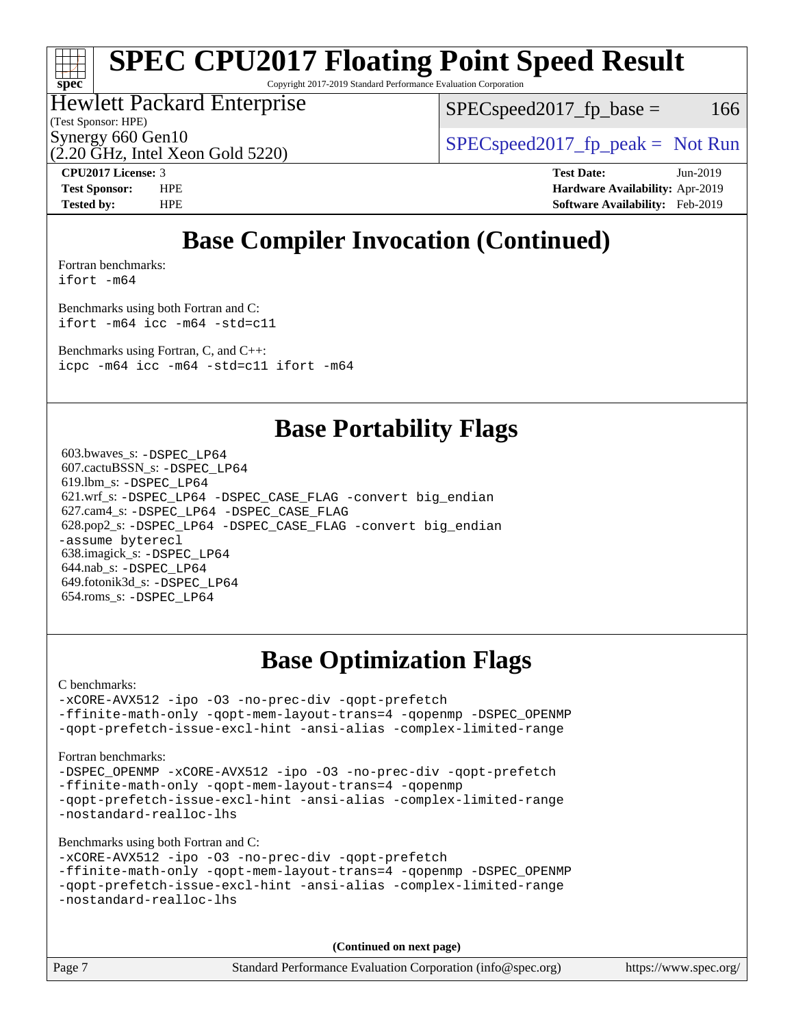# **[spec](http://www.spec.org/)**

# **[SPEC CPU2017 Floating Point Speed Result](http://www.spec.org/auto/cpu2017/Docs/result-fields.html#SPECCPU2017FloatingPointSpeedResult)**

Copyright 2017-2019 Standard Performance Evaluation Corporation

### Hewlett Packard Enterprise

(Test Sponsor: HPE)

 $SPEC speed2017<sub>fp</sub> base = 166$ 

Synergy 660 Gen10<br>  $SPEC speed2017<sub>rfp</sub> peak = Not Run$ 

(2.20 GHz, Intel Xeon Gold 5220) **[CPU2017 License:](http://www.spec.org/auto/cpu2017/Docs/result-fields.html#CPU2017License)** 3 **[Test Date:](http://www.spec.org/auto/cpu2017/Docs/result-fields.html#TestDate)** Jun-2019

**[Test Sponsor:](http://www.spec.org/auto/cpu2017/Docs/result-fields.html#TestSponsor)** HPE **[Hardware Availability:](http://www.spec.org/auto/cpu2017/Docs/result-fields.html#HardwareAvailability)** Apr-2019 **[Tested by:](http://www.spec.org/auto/cpu2017/Docs/result-fields.html#Testedby)** HPE **[Software Availability:](http://www.spec.org/auto/cpu2017/Docs/result-fields.html#SoftwareAvailability)** Feb-2019

# **[Base Compiler Invocation \(Continued\)](http://www.spec.org/auto/cpu2017/Docs/result-fields.html#BaseCompilerInvocation)**

[Fortran benchmarks](http://www.spec.org/auto/cpu2017/Docs/result-fields.html#Fortranbenchmarks): [ifort -m64](http://www.spec.org/cpu2017/results/res2019q3/cpu2017-20190709-16174.flags.html#user_FCbase_intel_ifort_64bit_24f2bb282fbaeffd6157abe4f878425411749daecae9a33200eee2bee2fe76f3b89351d69a8130dd5949958ce389cf37ff59a95e7a40d588e8d3a57e0c3fd751)

[Benchmarks using both Fortran and C](http://www.spec.org/auto/cpu2017/Docs/result-fields.html#BenchmarksusingbothFortranandC):

[ifort -m64](http://www.spec.org/cpu2017/results/res2019q3/cpu2017-20190709-16174.flags.html#user_CC_FCbase_intel_ifort_64bit_24f2bb282fbaeffd6157abe4f878425411749daecae9a33200eee2bee2fe76f3b89351d69a8130dd5949958ce389cf37ff59a95e7a40d588e8d3a57e0c3fd751) [icc -m64 -std=c11](http://www.spec.org/cpu2017/results/res2019q3/cpu2017-20190709-16174.flags.html#user_CC_FCbase_intel_icc_64bit_c11_33ee0cdaae7deeeab2a9725423ba97205ce30f63b9926c2519791662299b76a0318f32ddfffdc46587804de3178b4f9328c46fa7c2b0cd779d7a61945c91cd35)

[Benchmarks using Fortran, C, and C++:](http://www.spec.org/auto/cpu2017/Docs/result-fields.html#BenchmarksusingFortranCandCXX) [icpc -m64](http://www.spec.org/cpu2017/results/res2019q3/cpu2017-20190709-16174.flags.html#user_CC_CXX_FCbase_intel_icpc_64bit_4ecb2543ae3f1412ef961e0650ca070fec7b7afdcd6ed48761b84423119d1bf6bdf5cad15b44d48e7256388bc77273b966e5eb805aefd121eb22e9299b2ec9d9) [icc -m64 -std=c11](http://www.spec.org/cpu2017/results/res2019q3/cpu2017-20190709-16174.flags.html#user_CC_CXX_FCbase_intel_icc_64bit_c11_33ee0cdaae7deeeab2a9725423ba97205ce30f63b9926c2519791662299b76a0318f32ddfffdc46587804de3178b4f9328c46fa7c2b0cd779d7a61945c91cd35) [ifort -m64](http://www.spec.org/cpu2017/results/res2019q3/cpu2017-20190709-16174.flags.html#user_CC_CXX_FCbase_intel_ifort_64bit_24f2bb282fbaeffd6157abe4f878425411749daecae9a33200eee2bee2fe76f3b89351d69a8130dd5949958ce389cf37ff59a95e7a40d588e8d3a57e0c3fd751)

### **[Base Portability Flags](http://www.spec.org/auto/cpu2017/Docs/result-fields.html#BasePortabilityFlags)**

 603.bwaves\_s: [-DSPEC\\_LP64](http://www.spec.org/cpu2017/results/res2019q3/cpu2017-20190709-16174.flags.html#suite_basePORTABILITY603_bwaves_s_DSPEC_LP64) 607.cactuBSSN\_s: [-DSPEC\\_LP64](http://www.spec.org/cpu2017/results/res2019q3/cpu2017-20190709-16174.flags.html#suite_basePORTABILITY607_cactuBSSN_s_DSPEC_LP64) 619.lbm\_s: [-DSPEC\\_LP64](http://www.spec.org/cpu2017/results/res2019q3/cpu2017-20190709-16174.flags.html#suite_basePORTABILITY619_lbm_s_DSPEC_LP64) 621.wrf\_s: [-DSPEC\\_LP64](http://www.spec.org/cpu2017/results/res2019q3/cpu2017-20190709-16174.flags.html#suite_basePORTABILITY621_wrf_s_DSPEC_LP64) [-DSPEC\\_CASE\\_FLAG](http://www.spec.org/cpu2017/results/res2019q3/cpu2017-20190709-16174.flags.html#b621.wrf_s_baseCPORTABILITY_DSPEC_CASE_FLAG) [-convert big\\_endian](http://www.spec.org/cpu2017/results/res2019q3/cpu2017-20190709-16174.flags.html#user_baseFPORTABILITY621_wrf_s_convert_big_endian_c3194028bc08c63ac5d04de18c48ce6d347e4e562e8892b8bdbdc0214820426deb8554edfa529a3fb25a586e65a3d812c835984020483e7e73212c4d31a38223) 627.cam4\_s: [-DSPEC\\_LP64](http://www.spec.org/cpu2017/results/res2019q3/cpu2017-20190709-16174.flags.html#suite_basePORTABILITY627_cam4_s_DSPEC_LP64) [-DSPEC\\_CASE\\_FLAG](http://www.spec.org/cpu2017/results/res2019q3/cpu2017-20190709-16174.flags.html#b627.cam4_s_baseCPORTABILITY_DSPEC_CASE_FLAG) 628.pop2\_s: [-DSPEC\\_LP64](http://www.spec.org/cpu2017/results/res2019q3/cpu2017-20190709-16174.flags.html#suite_basePORTABILITY628_pop2_s_DSPEC_LP64) [-DSPEC\\_CASE\\_FLAG](http://www.spec.org/cpu2017/results/res2019q3/cpu2017-20190709-16174.flags.html#b628.pop2_s_baseCPORTABILITY_DSPEC_CASE_FLAG) [-convert big\\_endian](http://www.spec.org/cpu2017/results/res2019q3/cpu2017-20190709-16174.flags.html#user_baseFPORTABILITY628_pop2_s_convert_big_endian_c3194028bc08c63ac5d04de18c48ce6d347e4e562e8892b8bdbdc0214820426deb8554edfa529a3fb25a586e65a3d812c835984020483e7e73212c4d31a38223) [-assume byterecl](http://www.spec.org/cpu2017/results/res2019q3/cpu2017-20190709-16174.flags.html#user_baseFPORTABILITY628_pop2_s_assume_byterecl_7e47d18b9513cf18525430bbf0f2177aa9bf368bc7a059c09b2c06a34b53bd3447c950d3f8d6c70e3faf3a05c8557d66a5798b567902e8849adc142926523472) 638.imagick\_s: [-DSPEC\\_LP64](http://www.spec.org/cpu2017/results/res2019q3/cpu2017-20190709-16174.flags.html#suite_basePORTABILITY638_imagick_s_DSPEC_LP64) 644.nab\_s: [-DSPEC\\_LP64](http://www.spec.org/cpu2017/results/res2019q3/cpu2017-20190709-16174.flags.html#suite_basePORTABILITY644_nab_s_DSPEC_LP64) 649.fotonik3d\_s: [-DSPEC\\_LP64](http://www.spec.org/cpu2017/results/res2019q3/cpu2017-20190709-16174.flags.html#suite_basePORTABILITY649_fotonik3d_s_DSPEC_LP64) 654.roms\_s: [-DSPEC\\_LP64](http://www.spec.org/cpu2017/results/res2019q3/cpu2017-20190709-16174.flags.html#suite_basePORTABILITY654_roms_s_DSPEC_LP64)

# **[Base Optimization Flags](http://www.spec.org/auto/cpu2017/Docs/result-fields.html#BaseOptimizationFlags)**

[C benchmarks](http://www.spec.org/auto/cpu2017/Docs/result-fields.html#Cbenchmarks):

[-xCORE-AVX512](http://www.spec.org/cpu2017/results/res2019q3/cpu2017-20190709-16174.flags.html#user_CCbase_f-xCORE-AVX512) [-ipo](http://www.spec.org/cpu2017/results/res2019q3/cpu2017-20190709-16174.flags.html#user_CCbase_f-ipo) [-O3](http://www.spec.org/cpu2017/results/res2019q3/cpu2017-20190709-16174.flags.html#user_CCbase_f-O3) [-no-prec-div](http://www.spec.org/cpu2017/results/res2019q3/cpu2017-20190709-16174.flags.html#user_CCbase_f-no-prec-div) [-qopt-prefetch](http://www.spec.org/cpu2017/results/res2019q3/cpu2017-20190709-16174.flags.html#user_CCbase_f-qopt-prefetch) [-ffinite-math-only](http://www.spec.org/cpu2017/results/res2019q3/cpu2017-20190709-16174.flags.html#user_CCbase_f_finite_math_only_cb91587bd2077682c4b38af759c288ed7c732db004271a9512da14a4f8007909a5f1427ecbf1a0fb78ff2a814402c6114ac565ca162485bbcae155b5e4258871) [-qopt-mem-layout-trans=4](http://www.spec.org/cpu2017/results/res2019q3/cpu2017-20190709-16174.flags.html#user_CCbase_f-qopt-mem-layout-trans_fa39e755916c150a61361b7846f310bcdf6f04e385ef281cadf3647acec3f0ae266d1a1d22d972a7087a248fd4e6ca390a3634700869573d231a252c784941a8) [-qopenmp](http://www.spec.org/cpu2017/results/res2019q3/cpu2017-20190709-16174.flags.html#user_CCbase_qopenmp_16be0c44f24f464004c6784a7acb94aca937f053568ce72f94b139a11c7c168634a55f6653758ddd83bcf7b8463e8028bb0b48b77bcddc6b78d5d95bb1df2967) [-DSPEC\\_OPENMP](http://www.spec.org/cpu2017/results/res2019q3/cpu2017-20190709-16174.flags.html#suite_CCbase_DSPEC_OPENMP) [-qopt-prefetch-issue-excl-hint](http://www.spec.org/cpu2017/results/res2019q3/cpu2017-20190709-16174.flags.html#user_CCbase_f-qopt-prefetch-issue-excl-hint) [-ansi-alias](http://www.spec.org/cpu2017/results/res2019q3/cpu2017-20190709-16174.flags.html#user_CCbase_f-ansi-alias) [-complex-limited-range](http://www.spec.org/cpu2017/results/res2019q3/cpu2017-20190709-16174.flags.html#user_CCbase_f-complex-limited-range)

[Fortran benchmarks](http://www.spec.org/auto/cpu2017/Docs/result-fields.html#Fortranbenchmarks):

[-DSPEC\\_OPENMP](http://www.spec.org/cpu2017/results/res2019q3/cpu2017-20190709-16174.flags.html#suite_FCbase_DSPEC_OPENMP) [-xCORE-AVX512](http://www.spec.org/cpu2017/results/res2019q3/cpu2017-20190709-16174.flags.html#user_FCbase_f-xCORE-AVX512) [-ipo](http://www.spec.org/cpu2017/results/res2019q3/cpu2017-20190709-16174.flags.html#user_FCbase_f-ipo) [-O3](http://www.spec.org/cpu2017/results/res2019q3/cpu2017-20190709-16174.flags.html#user_FCbase_f-O3) [-no-prec-div](http://www.spec.org/cpu2017/results/res2019q3/cpu2017-20190709-16174.flags.html#user_FCbase_f-no-prec-div) [-qopt-prefetch](http://www.spec.org/cpu2017/results/res2019q3/cpu2017-20190709-16174.flags.html#user_FCbase_f-qopt-prefetch) [-ffinite-math-only](http://www.spec.org/cpu2017/results/res2019q3/cpu2017-20190709-16174.flags.html#user_FCbase_f_finite_math_only_cb91587bd2077682c4b38af759c288ed7c732db004271a9512da14a4f8007909a5f1427ecbf1a0fb78ff2a814402c6114ac565ca162485bbcae155b5e4258871) [-qopt-mem-layout-trans=4](http://www.spec.org/cpu2017/results/res2019q3/cpu2017-20190709-16174.flags.html#user_FCbase_f-qopt-mem-layout-trans_fa39e755916c150a61361b7846f310bcdf6f04e385ef281cadf3647acec3f0ae266d1a1d22d972a7087a248fd4e6ca390a3634700869573d231a252c784941a8) [-qopenmp](http://www.spec.org/cpu2017/results/res2019q3/cpu2017-20190709-16174.flags.html#user_FCbase_qopenmp_16be0c44f24f464004c6784a7acb94aca937f053568ce72f94b139a11c7c168634a55f6653758ddd83bcf7b8463e8028bb0b48b77bcddc6b78d5d95bb1df2967) [-qopt-prefetch-issue-excl-hint](http://www.spec.org/cpu2017/results/res2019q3/cpu2017-20190709-16174.flags.html#user_FCbase_f-qopt-prefetch-issue-excl-hint) [-ansi-alias](http://www.spec.org/cpu2017/results/res2019q3/cpu2017-20190709-16174.flags.html#user_FCbase_f-ansi-alias) [-complex-limited-range](http://www.spec.org/cpu2017/results/res2019q3/cpu2017-20190709-16174.flags.html#user_FCbase_f-complex-limited-range) [-nostandard-realloc-lhs](http://www.spec.org/cpu2017/results/res2019q3/cpu2017-20190709-16174.flags.html#user_FCbase_f_2003_std_realloc_82b4557e90729c0f113870c07e44d33d6f5a304b4f63d4c15d2d0f1fab99f5daaed73bdb9275d9ae411527f28b936061aa8b9c8f2d63842963b95c9dd6426b8a)

[Benchmarks using both Fortran and C](http://www.spec.org/auto/cpu2017/Docs/result-fields.html#BenchmarksusingbothFortranandC):

```
-xCORE-AVX512 -ipo -O3 -no-prec-div -qopt-prefetch
-ffinite-math-only -qopt-mem-layout-trans=4 -qopenmp -DSPEC_OPENMP
-qopt-prefetch-issue-excl-hint -ansi-alias -complex-limited-range
-nostandard-realloc-lhs
```
**(Continued on next page)**